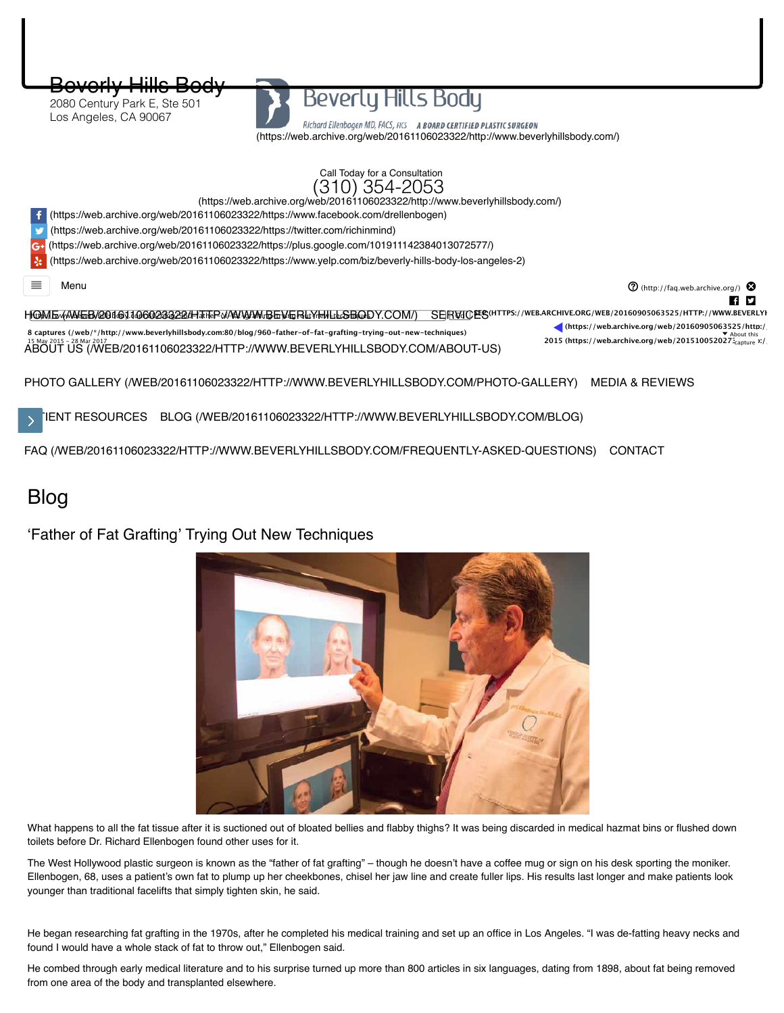

2080 Century Park E, Ste 501 Los Angeles, CA 90067

# Beverly Hills Body

Richard Ellenbogen MD, FACS, FICS A BOARD CERTIFIED PLASTIC SURGEON [\(https://web.archive.org/web/20161106023322/http://www.beverlyhillsbody.com/\)](https://web.archive.org/web/20161106023322/http://www.beverlyhillsbody.com/)



TENT RESOURCES [BLOG \(/WEB/20161106023322/HTTP://WWW.BEVERLYHILLSBODY.COM/BLOG\)](https://web.archive.org/web/20161106023322/http://www.beverlyhillsbody.com/blog)

[FAQ \(/WEB/20161106023322/HTTP://WWW.BEVERLYHILLSBODY.COM/FREQUENTLY-ASKED-QUESTIONS\)](https://web.archive.org/web/20161106023322/http://www.beverlyhillsbody.com/frequently-asked-questions) CONTACT

## Blog

'Father of Fat Grafting' Trying Out New Techniques



What happens to all the fat tissue after it is suctioned out of bloated bellies and flabby thighs? It was being discarded in medical hazmat bins or flushed down toilets before Dr. Richard Ellenbogen found other uses for it.

The West Hollywood plastic surgeon is known as the "father of fat grafting" – though he doesn't have a coffee mug or sign on his desk sporting the moniker. Ellenbogen, 68, uses a patient's own fat to plump up her cheekbones, chisel her jaw line and create fuller lips. His results last longer and make patients look younger than traditional facelifts that simply tighten skin, he said.

He began researching fat grafting in the 1970s, after he completed his medical training and set up an office in Los Angeles. "I was de-fatting heavy necks and found I would have a whole stack of fat to throw out," Ellenbogen said.

He combed through early medical literature and to his surprise turned up more than 800 articles in six languages, dating from 1898, about fat being removed from one area of the body and transplanted elsewhere.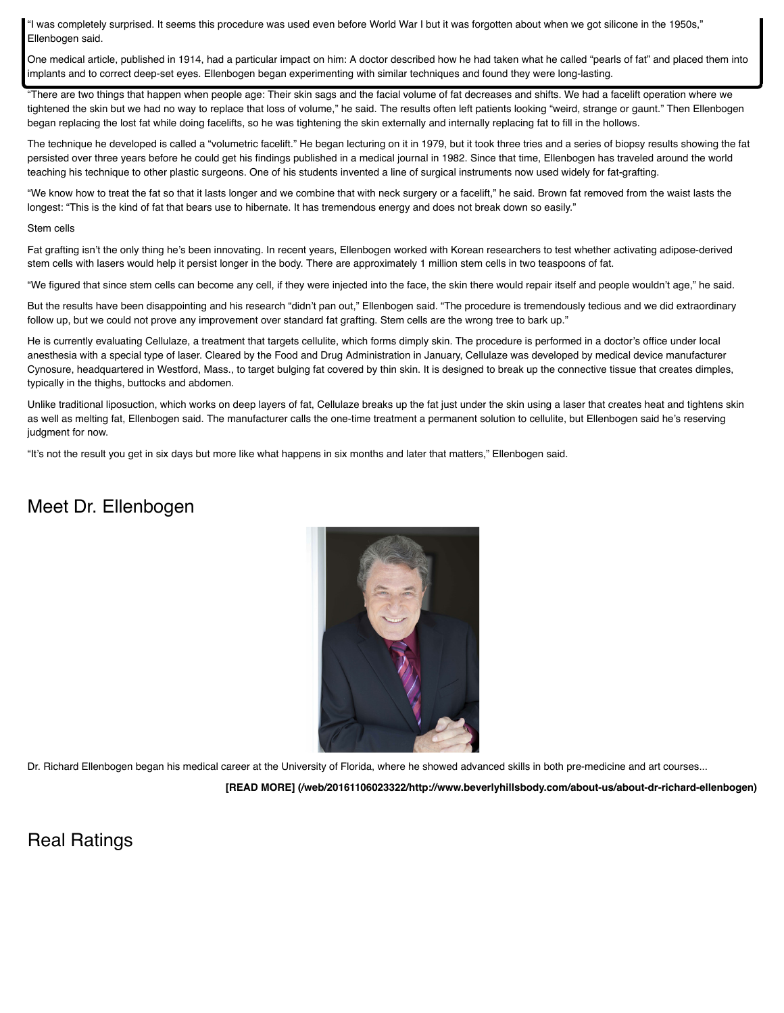"I was completely surprised. It seems this procedure was used even before World War I but it was forgotten about when we got silicone in the 1950s," Ellenbogen said.

One medical article, published in 1914, had a particular impact on him: A doctor described how he had taken what he called "pearls of fat" and placed them into implants and to correct deep-set eyes. Ellenbogen began experimenting with similar techniques and found they were long-lasting.

"There are two things that happen when people age: Their skin sags and the facial volume of fat decreases and shifts. We had a facelift operation where we tightened the skin but we had no way to replace that loss of volume," he said. The results often left patients looking "weird, strange or gaunt." Then Ellenbogen began replacing the lost fat while doing facelifts, so he was tightening the skin externally and internally replacing fat to fill in the hollows.

The technique he developed is called a "volumetric facelift." He began lecturing on it in 1979, but it took three tries and a series of biopsy results showing the fat persisted over three years before he could get his findings published in a medical journal in 1982. Since that time, Ellenbogen has traveled around the world teaching his technique to other plastic surgeons. One of his students invented a line of surgical instruments now used widely for fat-grafting.

"We know how to treat the fat so that it lasts longer and we combine that with neck surgery or a facelift," he said. Brown fat removed from the waist lasts the longest: "This is the kind of fat that bears use to hibernate. It has tremendous energy and does not break down so easily."

#### Stem cells

Fat grafting isn't the only thing he's been innovating. In recent years, Ellenbogen worked with Korean researchers to test whether activating adipose-derived stem cells with lasers would help it persist longer in the body. There are approximately 1 million stem cells in two teaspoons of fat.

"We figured that since stem cells can become any cell, if they were injected into the face, the skin there would repair itself and people wouldn't age," he said.

But the results have been disappointing and his research "didn't pan out," Ellenbogen said. "The procedure is tremendously tedious and we did extraordinary follow up, but we could not prove any improvement over standard fat grafting. Stem cells are the wrong tree to bark up."

He is currently evaluating Cellulaze, a treatment that targets cellulite, which forms dimply skin. The procedure is performed in a doctor's office under local anesthesia with a special type of laser. Cleared by the Food and Drug Administration in January, Cellulaze was developed by medical device manufacturer Cynosure, headquartered in Westford, Mass., to target bulging fat covered by thin skin. It is designed to break up the connective tissue that creates dimples, typically in the thighs, buttocks and abdomen.

Unlike traditional liposuction, which works on deep layers of fat, Cellulaze breaks up the fat just under the skin using a laser that creates heat and tightens skin as well as melting fat, Ellenbogen said. The manufacturer calls the one-time treatment a permanent solution to cellulite, but Ellenbogen said he's reserving judgment for now.

"It's not the result you get in six days but more like what happens in six months and later that matters," Ellenbogen said.

### Meet Dr. Ellenbogen



Dr. Richard Ellenbogen began his medical career at the University of Florida, where he showed advanced skills in both pre-medicine and art courses...

**[\[READ MORE\] \(/web/20161106023322/http://www.beverlyhillsbody.com/about-us/about-dr-richard-ellenbogen\)](https://web.archive.org/web/20161106023322/http://www.beverlyhillsbody.com/about-us/about-dr-richard-ellenbogen)**

Real Ratings